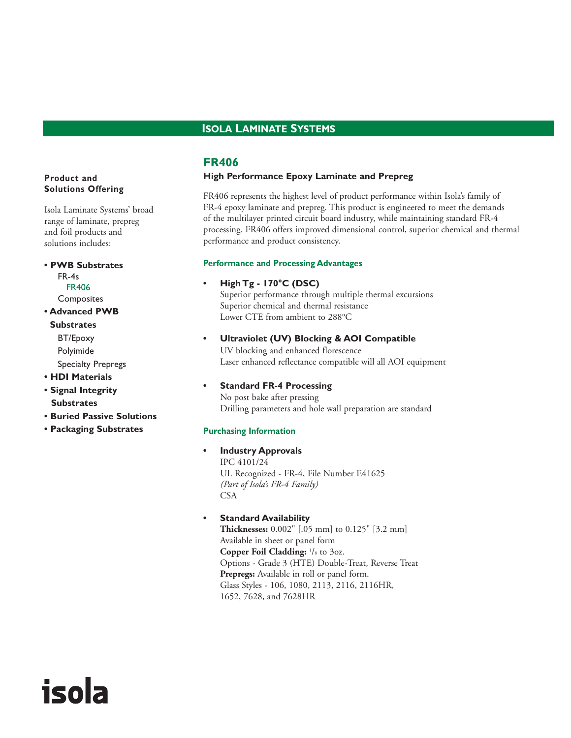## **ISOLA LAMINATE SYSTEMS**

## **FR406**

#### **High Performance Epoxy Laminate and Prepreg**

FR406 represents the highest level of product performance within Isola's family of FR-4 epoxy laminate and prepreg. This product is engineered to meet the demands of the multilayer printed circuit board industry, while maintaining standard FR-4 processing. FR406 offers improved dimensional control, superior chemical and thermal performance and product consistency.

#### **Performance and Processing Advantages**

#### **• High Tg - 170°C (DSC)**

Superior performance through multiple thermal excursions Superior chemical and thermal resistance Lower CTE from ambient to 288°C

**• Ultraviolet (UV) Blocking & AOI Compatible** UV blocking and enhanced florescence

Laser enhanced reflectance compatible will all AOI equipment

**• Standard FR-4 Processing**

No post bake after pressing Drilling parameters and hole wall preparation are standard

#### **Purchasing Information**

- **Industry Approvals** IPC 4101/24 UL Recognized - FR-4, File Number E41625 *(Part of Isola's FR-4 Family)* CSA
- **Standard Availability**

**Thicknesses:** 0.002" [.05 mm] to 0.125" [3.2 mm] Available in sheet or panel form **Copper Foil Cladding:** <sup>1</sup> /8 to 3oz. Options - Grade 3 (HTE) Double-Treat, Reverse Treat **Prepregs:** Available in roll or panel form. Glass Styles - 106, 1080, 2113, 2116, 2116HR, 1652, 7628, and 7628HR

## **Product and Solutions Offering**

Isola Laminate Systems' broad range of laminate, prepreg and foil products and solutions includes:

**• PWB Substrates**  FR-4s FR406 Composites

**• Advanced PWB Substrates** BT/Epoxy

> Polyimide Specialty Prepregs

- **HDI Materials**
- **Signal Integrity Substrates**

isola

- **Buried Passive Solutions**
- **Packaging Substrates**